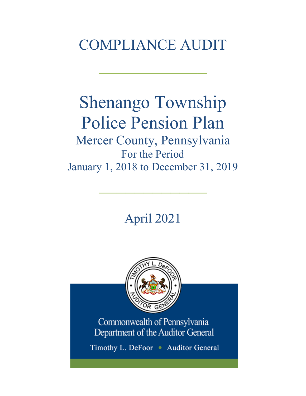# COMPLIANCE AUDIT

 $\frac{1}{2}$ 

# Shenango Township Police Pension Plan

Mercer County, Pennsylvania For the Period January 1, 2018 to December 31, 2019

 $\frac{1}{2}$ 

April 2021



Commonwealth of Pennsylvania Department of the Auditor General

Timothy L. DeFoor • Auditor General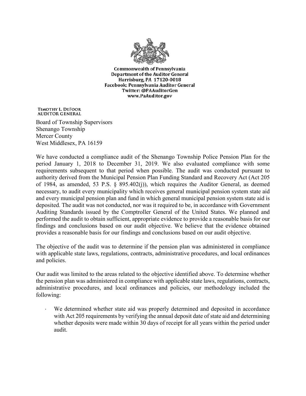

**Commonwealth of Pennsylvania** Department of the Auditor General Harrisburg, PA 17120-0018 Facebook: Pennsylvania Auditor General Twitter: @PAAuditorGen www.PaAuditor.gov

TIMOTHY L. DEFOOR **AUDITOR GENERAL** 

Board of Township Supervisors Shenango Township Mercer County West Middlesex, PA 16159

We have conducted a compliance audit of the Shenango Township Police Pension Plan for the period January 1, 2018 to December 31, 2019. We also evaluated compliance with some requirements subsequent to that period when possible. The audit was conducted pursuant to authority derived from the Municipal Pension Plan Funding Standard and Recovery Act (Act 205 of 1984, as amended, 53 P.S. § 895.402(j)), which requires the Auditor General, as deemed necessary, to audit every municipality which receives general municipal pension system state aid and every municipal pension plan and fund in which general municipal pension system state aid is deposited. The audit was not conducted, nor was it required to be, in accordance with Government Auditing Standards issued by the Comptroller General of the United States. We planned and performed the audit to obtain sufficient, appropriate evidence to provide a reasonable basis for our findings and conclusions based on our audit objective. We believe that the evidence obtained provides a reasonable basis for our findings and conclusions based on our audit objective.

The objective of the audit was to determine if the pension plan was administered in compliance with applicable state laws, regulations, contracts, administrative procedures, and local ordinances and policies.

Our audit was limited to the areas related to the objective identified above. To determine whether the pension plan was administered in compliance with applicable state laws, regulations, contracts, administrative procedures, and local ordinances and policies, our methodology included the following:

We determined whether state aid was properly determined and deposited in accordance with Act 205 requirements by verifying the annual deposit date of state aid and determining whether deposits were made within 30 days of receipt for all years within the period under audit.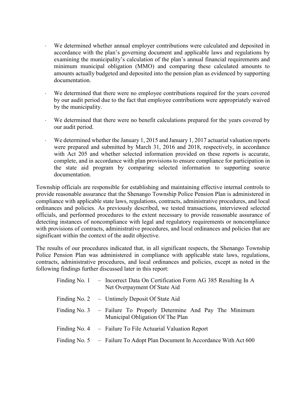- ⋅ We determined whether annual employer contributions were calculated and deposited in accordance with the plan's governing document and applicable laws and regulations by examining the municipality's calculation of the plan's annual financial requirements and minimum municipal obligation (MMO) and comparing these calculated amounts to amounts actually budgeted and deposited into the pension plan as evidenced by supporting documentation.
- We determined that there were no employee contributions required for the years covered by our audit period due to the fact that employee contributions were appropriately waived by the municipality.
- We determined that there were no benefit calculations prepared for the years covered by our audit period.
- We determined whether the January 1, 2015 and January 1, 2017 actuarial valuation reports were prepared and submitted by March 31, 2016 and 2018, respectively, in accordance with Act 205 and whether selected information provided on these reports is accurate, complete, and in accordance with plan provisions to ensure compliance for participation in the state aid program by comparing selected information to supporting source documentation.

Township officials are responsible for establishing and maintaining effective internal controls to provide reasonable assurance that the Shenango Township Police Pension Plan is administered in compliance with applicable state laws, regulations, contracts, administrative procedures, and local ordinances and policies. As previously described, we tested transactions, interviewed selected officials, and performed procedures to the extent necessary to provide reasonable assurance of detecting instances of noncompliance with legal and regulatory requirements or noncompliance with provisions of contracts, administrative procedures, and local ordinances and policies that are significant within the context of the audit objective.

The results of our procedures indicated that, in all significant respects, the Shenango Township Police Pension Plan was administered in compliance with applicable state laws, regulations, contracts, administrative procedures, and local ordinances and policies, except as noted in the following findings further discussed later in this report:

| Finding No. 1 - Incorrect Data On Certification Form AG 385 Resulting In A<br>Net Overpayment Of State Aid |  |
|------------------------------------------------------------------------------------------------------------|--|
| Finding No. 2 $-$ Untimely Deposit Of State Aid                                                            |  |
| Finding No. 3 – Failure To Properly Determine And Pay The Minimum<br>Municipal Obligation Of The Plan      |  |
| Finding No. 4 – Failure To File Actuarial Valuation Report                                                 |  |
| Finding No. 5 - Failure To Adopt Plan Document In Accordance With Act 600                                  |  |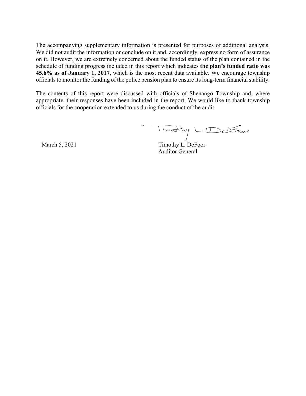The accompanying supplementary information is presented for purposes of additional analysis. We did not audit the information or conclude on it and, accordingly, express no form of assurance on it. However, we are extremely concerned about the funded status of the plan contained in the schedule of funding progress included in this report which indicates **the plan's funded ratio was 45.6% as of January 1, 2017**, which is the most recent data available. We encourage township officials to monitor the funding of the police pension plan to ensure its long-term financial stability.

The contents of this report were discussed with officials of Shenango Township and, where appropriate, their responses have been included in the report. We would like to thank township officials for the cooperation extended to us during the conduct of the audit.

March 5, 2021 Timothy L. DeFoor

Auditor General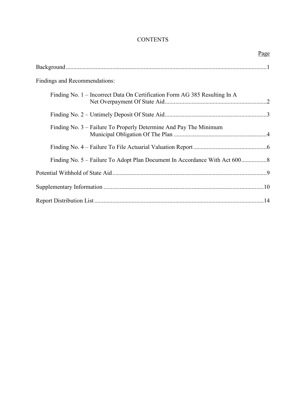# **CONTENTS**

| <u>Page</u>                                                                |
|----------------------------------------------------------------------------|
|                                                                            |
| Findings and Recommendations:                                              |
| Finding No. 1 – Incorrect Data On Certification Form AG 385 Resulting In A |
|                                                                            |
| Finding No. 3 – Failure To Properly Determine And Pay The Minimum          |
|                                                                            |
|                                                                            |
|                                                                            |
|                                                                            |
|                                                                            |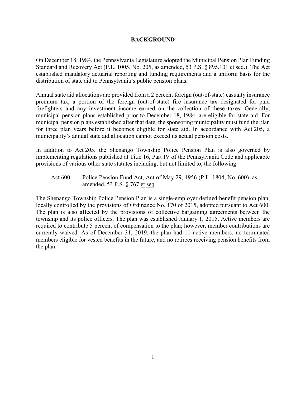#### **BACKGROUND**

On December 18, 1984, the Pennsylvania Legislature adopted the Municipal Pension Plan Funding Standard and Recovery Act (P.L. 1005, No. 205, as amended, 53 P.S. § 895.101 et seq.). The Act established mandatory actuarial reporting and funding requirements and a uniform basis for the distribution of state aid to Pennsylvania's public pension plans.

Annual state aid allocations are provided from a 2 percent foreign (out-of-state) casualty insurance premium tax, a portion of the foreign (out-of-state) fire insurance tax designated for paid firefighters and any investment income earned on the collection of these taxes. Generally, municipal pension plans established prior to December 18, 1984, are eligible for state aid. For municipal pension plans established after that date, the sponsoring municipality must fund the plan for three plan years before it becomes eligible for state aid. In accordance with Act 205, a municipality's annual state aid allocation cannot exceed its actual pension costs.

In addition to Act 205, the Shenango Township Police Pension Plan is also governed by implementing regulations published at Title 16, Part IV of the Pennsylvania Code and applicable provisions of various other state statutes including, but not limited to, the following:

Act 600 - Police Pension Fund Act, Act of May 29, 1956 (P.L. 1804, No. 600), as amended, 53 P.S. § 767 et seq.

The Shenango Township Police Pension Plan is a single-employer defined benefit pension plan, locally controlled by the provisions of Ordinance No. 170 of 2015, adopted pursuant to Act 600. The plan is also affected by the provisions of collective bargaining agreements between the township and its police officers. The plan was established January 1, 2015. Active members are required to contribute 5 percent of compensation to the plan; however, member contributions are currently waived. As of December 31, 2019, the plan had 11 active members, no terminated members eligible for vested benefits in the future, and no retirees receiving pension benefits from the plan.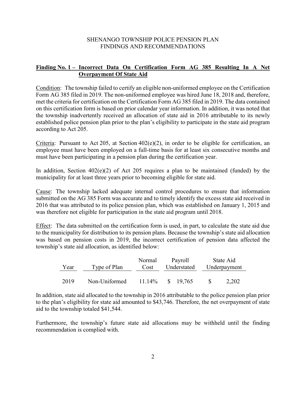# **Finding No. 1 – Incorrect Data On Certification Form AG 385 Resulting In A Net Overpayment Of State Aid**

Condition: The township failed to certify an eligible non-uniformed employee on the Certification Form AG 385 filed in 2019. The non-uniformed employee was hired June 18, 2018 and, therefore, met the criteria for certification on the Certification Form AG 385 filed in 2019. The data contained on this certification form is based on prior calendar year information. In addition, it was noted that the township inadvertently received an allocation of state aid in 2016 attributable to its newly established police pension plan prior to the plan's eligibility to participate in the state aid program according to Act 205.

Criteria: Pursuant to Act 205, at Section  $402(e)(2)$ , in order to be eligible for certification, an employee must have been employed on a full-time basis for at least six consecutive months and must have been participating in a pension plan during the certification year.

In addition, Section  $402(e)(2)$  of Act 205 requires a plan to be maintained (funded) by the municipality for at least three years prior to becoming eligible for state aid.

Cause: The township lacked adequate internal control procedures to ensure that information submitted on the AG 385 Form was accurate and to timely identify the excess state aid received in 2016 that was attributed to its police pension plan, which was established on January 1, 2015 and was therefore not eligible for participation in the state aid program until 2018.

Effect: The data submitted on the certification form is used, in part, to calculate the state aid due to the municipality for distribution to its pension plans. Because the township's state aid allocation was based on pension costs in 2019, the incorrect certification of pension data affected the township's state aid allocation, as identified below:

| Year | Type of Plan  | Normal<br>Cost | Payroll<br>Understated | State Aid<br>Underpayment |
|------|---------------|----------------|------------------------|---------------------------|
| 2019 | Non-Uniformed | $11.14\%$      | \$ 19.765              | 2,202                     |

In addition, state aid allocated to the township in 2016 attributable to the police pension plan prior to the plan's eligibility for state aid amounted to \$43,746. Therefore, the net overpayment of state aid to the township totaled \$41,544.

Furthermore, the township's future state aid allocations may be withheld until the finding recommendation is complied with.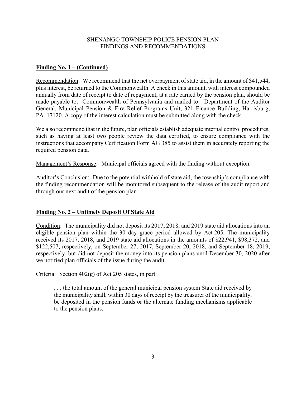#### **Finding No. 1 – (Continued)**

Recommendation: We recommend that the net overpayment of state aid, in the amount of \$41,544, plus interest, be returned to the Commonwealth. A check in this amount, with interest compounded annually from date of receipt to date of repayment, at a rate earned by the pension plan, should be made payable to: Commonwealth of Pennsylvania and mailed to: Department of the Auditor General, Municipal Pension & Fire Relief Programs Unit, 321 Finance Building, Harrisburg, PA 17120. A copy of the interest calculation must be submitted along with the check.

We also recommend that in the future, plan officials establish adequate internal control procedures, such as having at least two people review the data certified, to ensure compliance with the instructions that accompany Certification Form AG 385 to assist them in accurately reporting the required pension data.

Management's Response: Municipal officials agreed with the finding without exception.

Auditor's Conclusion: Due to the potential withhold of state aid, the township's compliance with the finding recommendation will be monitored subsequent to the release of the audit report and through our next audit of the pension plan.

#### **Finding No. 2 – Untimely Deposit Of State Aid**

Condition: The municipality did not deposit its 2017, 2018, and 2019 state aid allocations into an eligible pension plan within the 30 day grace period allowed by Act 205. The municipality received its 2017, 2018, and 2019 state aid allocations in the amounts of \$22,941, \$98,372, and \$122,507, respectively, on September 27, 2017, September 20, 2018, and September 18, 2019, respectively, but did not deposit the money into its pension plans until December 30, 2020 after we notified plan officials of the issue during the audit.

Criteria: Section 402(g) of Act 205 states, in part:

. . . the total amount of the general municipal pension system State aid received by the municipality shall, within 30 days of receipt by the treasurer of the municipality, be deposited in the pension funds or the alternate funding mechanisms applicable to the pension plans.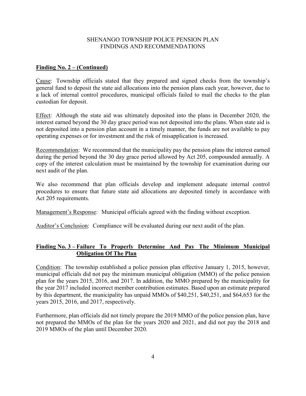#### **Finding No. 2 – (Continued)**

Cause: Township officials stated that they prepared and signed checks from the township's general fund to deposit the state aid allocations into the pension plans each year, however, due to a lack of internal control procedures, municipal officials failed to mail the checks to the plan custodian for deposit.

Effect: Although the state aid was ultimately deposited into the plans in December 2020, the interest earned beyond the 30 day grace period was not deposited into the plans. When state aid is not deposited into a pension plan account in a timely manner, the funds are not available to pay operating expenses or for investment and the risk of misapplication is increased.

Recommendation: We recommend that the municipality pay the pension plans the interest earned during the period beyond the 30 day grace period allowed by Act 205, compounded annually. A copy of the interest calculation must be maintained by the township for examination during our next audit of the plan.

We also recommend that plan officials develop and implement adequate internal control procedures to ensure that future state aid allocations are deposited timely in accordance with Act 205 requirements.

Management's Response: Municipal officials agreed with the finding without exception.

Auditor's Conclusion: Compliance will be evaluated during our next audit of the plan.

#### **Finding No. 3 – Failure To Properly Determine And Pay The Minimum Municipal Obligation Of The Plan**

Condition: The township established a police pension plan effective January 1, 2015, however, municipal officials did not pay the minimum municipal obligation (MMO) of the police pension plan for the years 2015, 2016, and 2017. In addition, the MMO prepared by the municipality for the year 2017 included incorrect member contribution estimates. Based upon an estimate prepared by this department, the municipality has unpaid MMOs of \$40,251, \$40,251, and \$64,653 for the years 2015, 2016, and 2017, respectively.

Furthermore, plan officials did not timely prepare the 2019 MMO of the police pension plan, have not prepared the MMOs of the plan for the years 2020 and 2021, and did not pay the 2018 and 2019 MMOs of the plan until December 2020.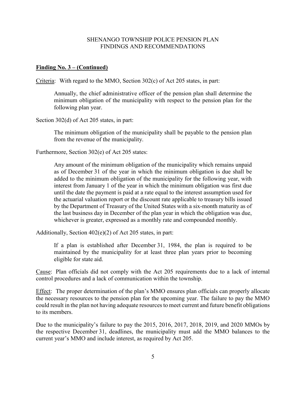#### **Finding No. 3 – (Continued)**

Criteria: With regard to the MMO, Section 302(c) of Act 205 states, in part:

Annually, the chief administrative officer of the pension plan shall determine the minimum obligation of the municipality with respect to the pension plan for the following plan year.

Section 302(d) of Act 205 states, in part:

The minimum obligation of the municipality shall be payable to the pension plan from the revenue of the municipality.

Furthermore, Section 302(e) of Act 205 states:

Any amount of the minimum obligation of the municipality which remains unpaid as of December 31 of the year in which the minimum obligation is due shall be added to the minimum obligation of the municipality for the following year, with interest from January 1 of the year in which the minimum obligation was first due until the date the payment is paid at a rate equal to the interest assumption used for the actuarial valuation report or the discount rate applicable to treasury bills issued by the Department of Treasury of the United States with a six-month maturity as of the last business day in December of the plan year in which the obligation was due, whichever is greater, expressed as a monthly rate and compounded monthly.

Additionally, Section 402(e)(2) of Act 205 states, in part:

If a plan is established after December 31, 1984, the plan is required to be maintained by the municipality for at least three plan years prior to becoming eligible for state aid.

Cause: Plan officials did not comply with the Act 205 requirements due to a lack of internal control procedures and a lack of communication within the township.

Effect: The proper determination of the plan's MMO ensures plan officials can properly allocate the necessary resources to the pension plan for the upcoming year. The failure to pay the MMO could result in the plan not having adequate resources to meet current and future benefit obligations to its members.

Due to the municipality's failure to pay the 2015, 2016, 2017, 2018, 2019, and 2020 MMOs by the respective December 31, deadlines, the municipality must add the MMO balances to the current year's MMO and include interest, as required by Act 205.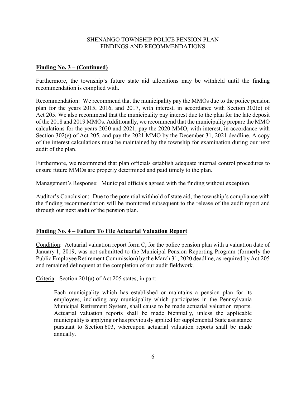#### **Finding No. 3 – (Continued)**

Furthermore, the township's future state aid allocations may be withheld until the finding recommendation is complied with.

Recommendation: We recommend that the municipality pay the MMOs due to the police pension plan for the years 2015, 2016, and 2017, with interest, in accordance with Section 302(e) of Act 205. We also recommend that the municipality pay interest due to the plan for the late deposit of the 2018 and 2019 MMOs. Additionally, we recommend that the municipality prepare the MMO calculations for the years 2020 and 2021, pay the 2020 MMO, with interest, in accordance with Section 302(e) of Act 205, and pay the 2021 MMO by the December 31, 2021 deadline. A copy of the interest calculations must be maintained by the township for examination during our next audit of the plan.

Furthermore, we recommend that plan officials establish adequate internal control procedures to ensure future MMOs are properly determined and paid timely to the plan.

Management's Response: Municipal officials agreed with the finding without exception.

Auditor's Conclusion: Due to the potential withhold of state aid, the township's compliance with the finding recommendation will be monitored subsequent to the release of the audit report and through our next audit of the pension plan.

#### **Finding No. 4 – Failure To File Actuarial Valuation Report**

Condition: Actuarial valuation report form C, for the police pension plan with a valuation date of January 1, 2019, was not submitted to the Municipal Pension Reporting Program (formerly the Public Employee Retirement Commission) by the March 31, 2020 deadline, as required by Act 205 and remained delinquent at the completion of our audit fieldwork.

Criteria: Section 201(a) of Act 205 states, in part:

Each municipality which has established or maintains a pension plan for its employees, including any municipality which participates in the Pennsylvania Municipal Retirement System, shall cause to be made actuarial valuation reports. Actuarial valuation reports shall be made biennially, unless the applicable municipality is applying or has previously applied for supplemental State assistance pursuant to Section 603, whereupon actuarial valuation reports shall be made annually.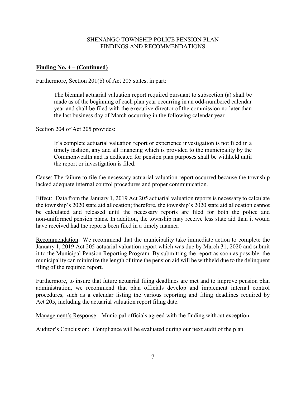#### **Finding No. 4 – (Continued)**

Furthermore, Section 201(b) of Act 205 states, in part:

The biennial actuarial valuation report required pursuant to subsection (a) shall be made as of the beginning of each plan year occurring in an odd-numbered calendar year and shall be filed with the executive director of the commission no later than the last business day of March occurring in the following calendar year.

Section 204 of Act 205 provides:

If a complete actuarial valuation report or experience investigation is not filed in a timely fashion, any and all financing which is provided to the municipality by the Commonwealth and is dedicated for pension plan purposes shall be withheld until the report or investigation is filed.

Cause: The failure to file the necessary actuarial valuation report occurred because the township lacked adequate internal control procedures and proper communication.

Effect: Data from the January 1, 2019 Act 205 actuarial valuation reports is necessary to calculate the township's 2020 state aid allocation; therefore, the township's 2020 state aid allocation cannot be calculated and released until the necessary reports are filed for both the police and non-uniformed pension plans. In addition, the township may receive less state aid than it would have received had the reports been filed in a timely manner.

Recommendation: We recommend that the municipality take immediate action to complete the January 1, 2019 Act 205 actuarial valuation report which was due by March 31, 2020 and submit it to the Municipal Pension Reporting Program. By submitting the report as soon as possible, the municipality can minimize the length of time the pension aid will be withheld due to the delinquent filing of the required report.

Furthermore, to insure that future actuarial filing deadlines are met and to improve pension plan administration, we recommend that plan officials develop and implement internal control procedures, such as a calendar listing the various reporting and filing deadlines required by Act 205, including the actuarial valuation report filing date.

Management's Response: Municipal officials agreed with the finding without exception.

Auditor's Conclusion: Compliance will be evaluated during our next audit of the plan.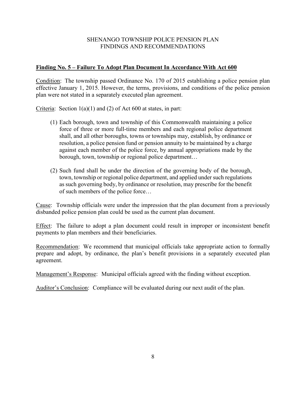# **Finding No. 5 – Failure To Adopt Plan Document In Accordance With Act 600**

Condition: The township passed Ordinance No. 170 of 2015 establishing a police pension plan effective January 1, 2015. However, the terms, provisions, and conditions of the police pension plan were not stated in a separately executed plan agreement.

Criteria: Section  $1(a)(1)$  and (2) of Act 600 at states, in part:

- (1) Each borough, town and township of this Commonwealth maintaining a police force of three or more full-time members and each regional police department shall, and all other boroughs, towns or townships may, establish, by ordinance or resolution, a police pension fund or pension annuity to be maintained by a charge against each member of the police force, by annual appropriations made by the borough, town, township or regional police department…
- (2) Such fund shall be under the direction of the governing body of the borough, town, township or regional police department, and applied under such regulations as such governing body, by ordinance or resolution, may prescribe for the benefit of such members of the police force…

Cause: Township officials were under the impression that the plan document from a previously disbanded police pension plan could be used as the current plan document.

Effect: The failure to adopt a plan document could result in improper or inconsistent benefit payments to plan members and their beneficiaries.

Recommendation: We recommend that municipal officials take appropriate action to formally prepare and adopt, by ordinance, the plan's benefit provisions in a separately executed plan agreement.

Management's Response: Municipal officials agreed with the finding without exception.

Auditor's Conclusion: Compliance will be evaluated during our next audit of the plan.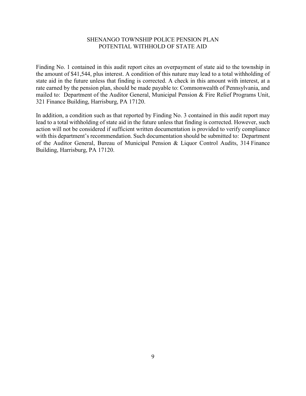#### SHENANGO TOWNSHIP POLICE PENSION PLAN POTENTIAL WITHHOLD OF STATE AID

Finding No. 1 contained in this audit report cites an overpayment of state aid to the township in the amount of \$41,544, plus interest. A condition of this nature may lead to a total withholding of state aid in the future unless that finding is corrected. A check in this amount with interest, at a rate earned by the pension plan, should be made payable to: Commonwealth of Pennsylvania, and mailed to: Department of the Auditor General, Municipal Pension & Fire Relief Programs Unit, 321 Finance Building, Harrisburg, PA 17120.

In addition, a condition such as that reported by Finding No. 3 contained in this audit report may lead to a total withholding of state aid in the future unless that finding is corrected. However, such action will not be considered if sufficient written documentation is provided to verify compliance with this department's recommendation. Such documentation should be submitted to: Department of the Auditor General, Bureau of Municipal Pension & Liquor Control Audits, 314 Finance Building, Harrisburg, PA 17120.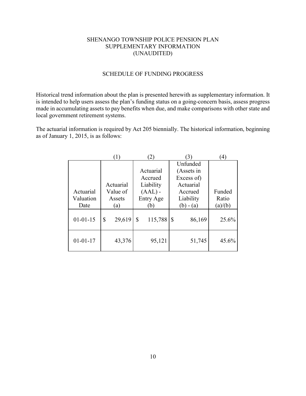#### SHENANGO TOWNSHIP POLICE PENSION PLAN SUPPLEMENTARY INFORMATION (UNAUDITED)

#### SCHEDULE OF FUNDING PROGRESS

Historical trend information about the plan is presented herewith as supplementary information. It is intended to help users assess the plan's funding status on a going-concern basis, assess progress made in accumulating assets to pay benefits when due, and make comparisons with other state and local government retirement systems.

The actuarial information is required by Act 205 biennially. The historical information, beginning as of January 1, 2015, is as follows:

|                | 1)           |               | 3)           | $^{(4)}$ |
|----------------|--------------|---------------|--------------|----------|
|                |              |               | Unfunded     |          |
|                |              | Actuarial     | (Assets in   |          |
|                |              | Accrued       | Excess of)   |          |
|                | Actuarial    | Liability     | Actuarial    |          |
| Actuarial      | Value of     | $(AAL)$ -     | Accrued      | Funded   |
| Valuation      | Assets       | Entry Age     | Liability    | Ratio    |
| Date           | (a)          | (b)           | $(b) - (a)$  | (a)/(b)  |
| $01 - 01 - 15$ | 29,619<br>\$ | 115,788<br>\$ | 86,169<br>\$ | 25.6%    |
| $01 - 01 - 17$ | 43,376       | 95,121        | 51,745       | 45.6%    |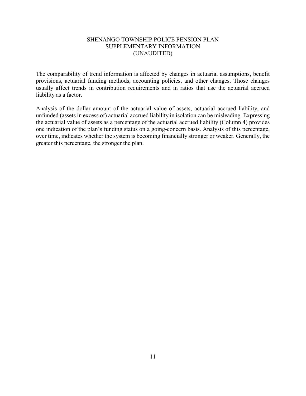#### SHENANGO TOWNSHIP POLICE PENSION PLAN SUPPLEMENTARY INFORMATION (UNAUDITED)

The comparability of trend information is affected by changes in actuarial assumptions, benefit provisions, actuarial funding methods, accounting policies, and other changes. Those changes usually affect trends in contribution requirements and in ratios that use the actuarial accrued liability as a factor.

Analysis of the dollar amount of the actuarial value of assets, actuarial accrued liability, and unfunded (assets in excess of) actuarial accrued liability in isolation can be misleading. Expressing the actuarial value of assets as a percentage of the actuarial accrued liability (Column 4) provides one indication of the plan's funding status on a going-concern basis. Analysis of this percentage, over time, indicates whether the system is becoming financially stronger or weaker. Generally, the greater this percentage, the stronger the plan.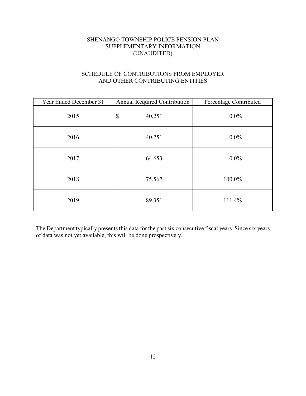# SHENANGO TOWNSHIP POLICE PENSION PLAN SUPPLEMENTARY INFORMATION (UNAUDITED)

# SCHEDULE OF CONTRIBUTIONS FROM EMPLOYER AND OTHER CONTRIBUTING ENTITIES

| Year Ended December 31 | <b>Annual Required Contribution</b> | Percentage Contributed |
|------------------------|-------------------------------------|------------------------|
| 2015                   | \$<br>40,251                        | $0.0\%$                |
| 2016                   | 40,251                              | $0.0\%$                |
| 2017                   | 64,653                              | $0.0\%$                |
| 2018                   | 75,567                              | 100.0%                 |
| 2019                   | 89,351                              | 111.4%                 |

The Department typically presents this data for the past six consecutive fiscal years. Since six years of data was not yet available, this will be done prospectively.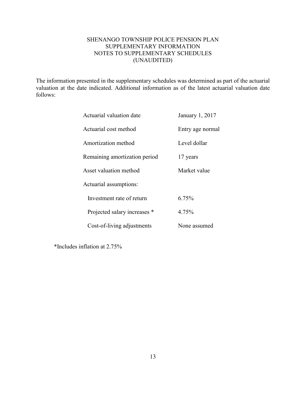# SHENANGO TOWNSHIP POLICE PENSION PLAN SUPPLEMENTARY INFORMATION NOTES TO SUPPLEMENTARY SCHEDULES (UNAUDITED)

The information presented in the supplementary schedules was determined as part of the actuarial valuation at the date indicated. Additional information as of the latest actuarial valuation date follows:

| Actuarial valuation date      | January 1, 2017  |
|-------------------------------|------------------|
| Actuarial cost method         | Entry age normal |
| Amortization method           | Level dollar     |
| Remaining amortization period | 17 years         |
| Asset valuation method        | Market value     |
| Actuarial assumptions:        |                  |
| Investment rate of return     | 6.75%            |
| Projected salary increases *  | 4.75%            |
| Cost-of-living adjustments    | None assumed     |

\*Includes inflation at 2.75%